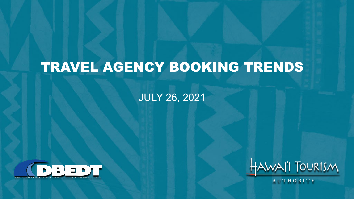## TRAVEL AGENCY BOOKING TRENDS

#### JULY 26, 2021





**AUTHORITY**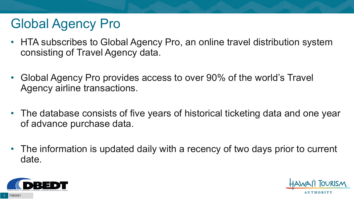# Global Agency Pro

- HTA subscribes to Global Agency Pro, an online travel distribution system consisting of Travel Agency data.
- Global Agency Pro provides access to over 90% of the world's Travel Agency airline transactions.
- The database consists of five years of historical ticketing data and one year of advance purchase data.
- The information is updated daily with a recency of two days prior to current date.



7/26/202<sup>-</sup>

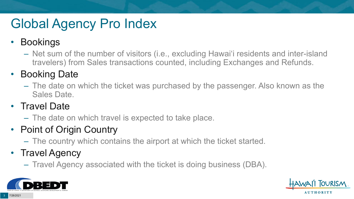# Global Agency Pro Index

#### • Bookings

– Net sum of the number of visitors (i.e., excluding Hawai'i residents and inter-island travelers) from Sales transactions counted, including Exchanges and Refunds.

#### • Booking Date

– The date on which the ticket was purchased by the passenger. Also known as the Sales Date.

#### • Travel Date

– The date on which travel is expected to take place.

#### • Point of Origin Country

– The country which contains the airport at which the ticket started.

#### • Travel Agency

– Travel Agency associated with the ticket is doing business (DBA).



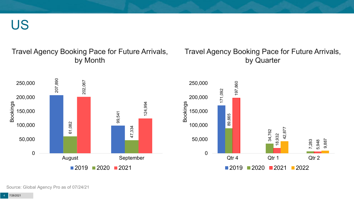US

#### Travel Agency Booking Pace for Future Arrivals, by Month

#### Travel Agency Booking Pace for Future Arrivals, by Quarter





Source: Global Agency Pro as of 07/24/21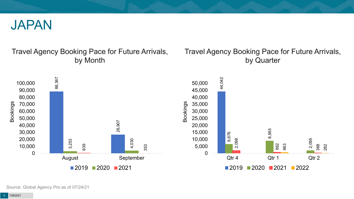

#### Travel Agency Booking Pace for Future Arrivals, by Month

#### Travel Agency Booking Pace for Future Arrivals, by Quarter

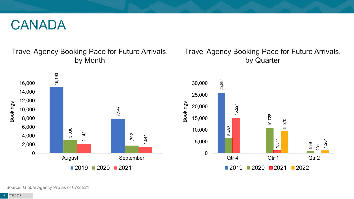#### CANADA

Travel Agency Booking Pace for Future Arrivals, by Month

#### Travel Agency Booking Pace for Future Arrivals, by Quarter





Source: Global Agency Pro as of 07/24/21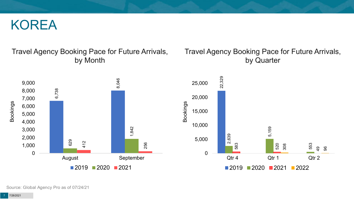#### KOREA

#### Travel Agency Booking Pace for Future Arrivals, by Month

#### Travel Agency Booking Pace for Future Arrivals, by Quarter



Source: Global Agency Pro as of 07/24/21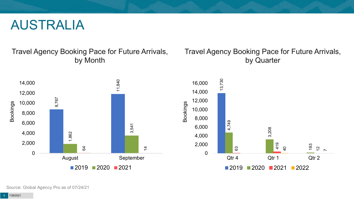#### AUSTRALIA

Travel Agency Booking Pace for Future Arrivals, by Month

#### Travel Agency Booking Pace for Future Arrivals, by Quarter

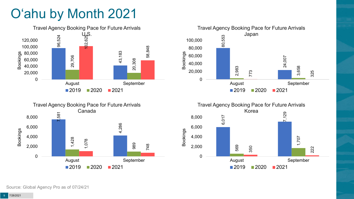# O'ahu by Month 2021







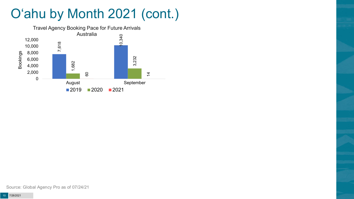# O'ahu by Month 2021 (cont.)

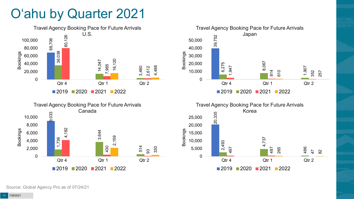## O'ahu by Quarter 2021







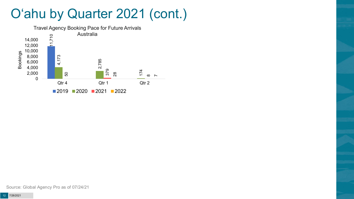### O'ahu by Quarter 2021 (cont.)

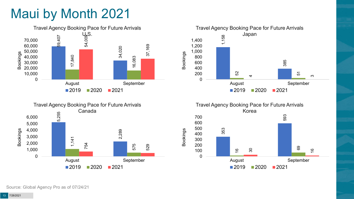# Maui by Month 2021







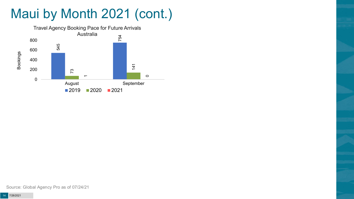# Maui by Month 2021 (cont.)

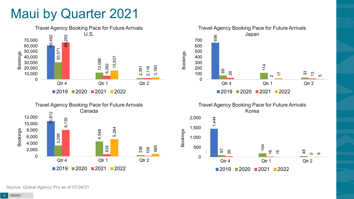### Maui by Quarter 2021







Travel Agency Booking Pace for Future Arrivals Korea

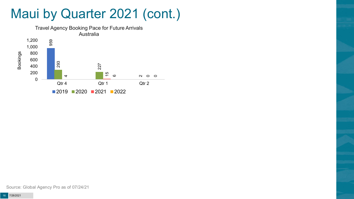### Maui by Quarter 2021 (cont.)

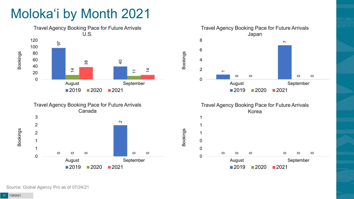# Moloka'i by Month 2021









Bookings

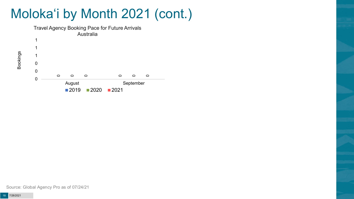## Moloka'i by Month 2021 (cont.)



Bookings

Source: Global Agency Pro as of 07/24/21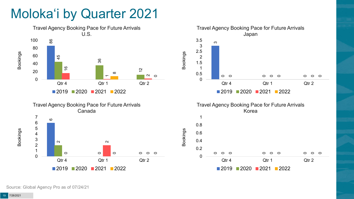## Moloka'i by Quarter 2021









Bookings

Source: Global Agency Pro as of 07/24/21

Bookings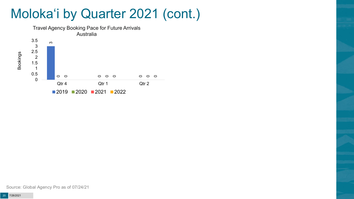### Moloka'i by Quarter 2021 (cont.)



Source: Global Agency Pro as of 07/24/21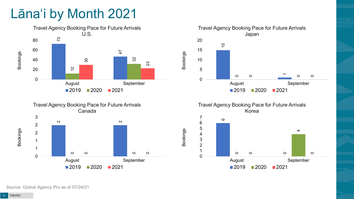# Lāna'i by Month 2021







Travel Agency Booking Pace for Future Arrivals Korea



Bookings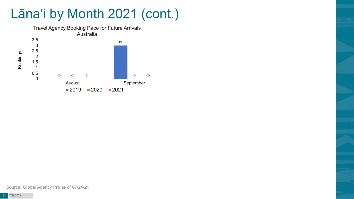# Lāna'i by Month 2021 (cont.)



Source: Global Agency Pro as of 07/24/21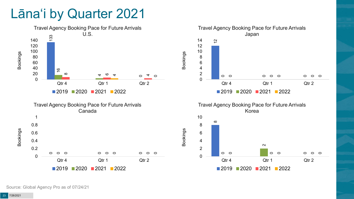#### Lāna'i by Quarter 2021

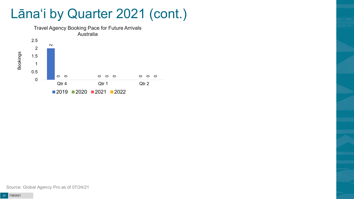### Lāna'i by Quarter 2021 (cont.)



Source: Global Agency Pro as of 07/24/21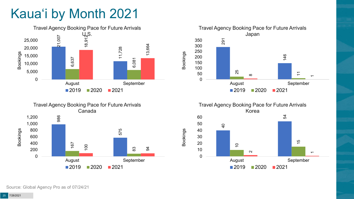# Kaua'i by Month 2021







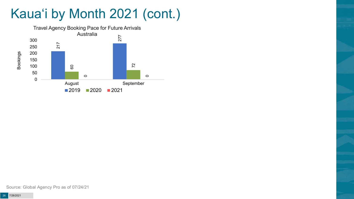# Kaua'i by Month 2021 (cont.)

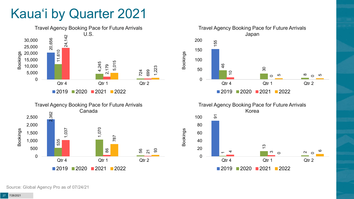## Kaua'i by Quarter 2021







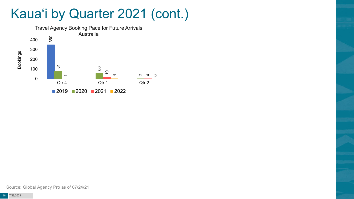### Kaua'i by Quarter 2021 (cont.)

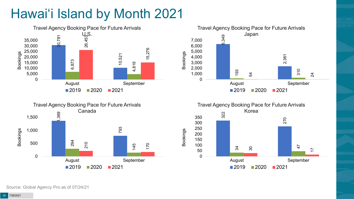# Hawai'i Island by Month 2021







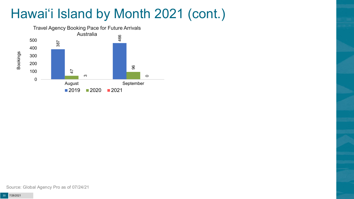# Hawai'i Island by Month 2021 (cont.)

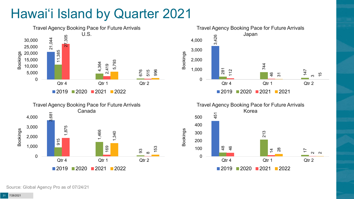# Hawai'i Island by Quarter 2021